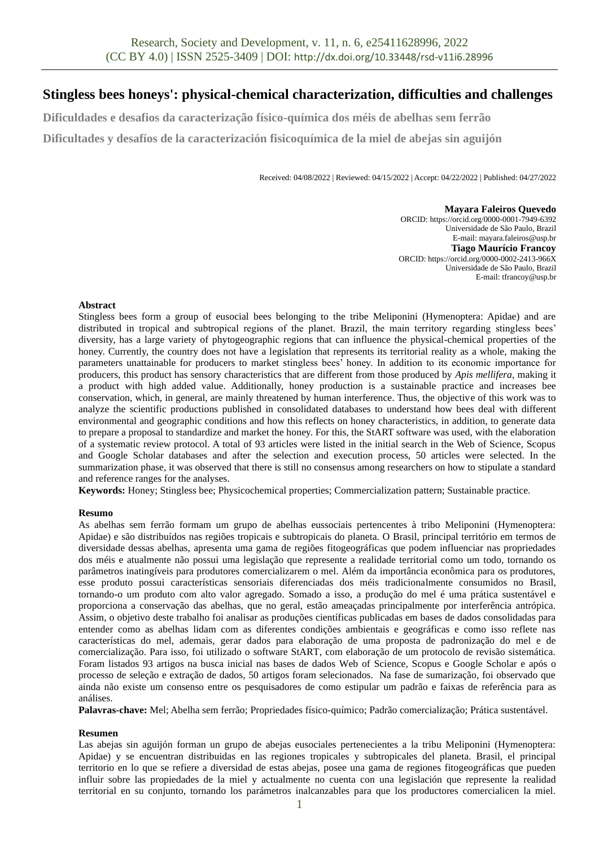# **Stingless bees honeys': physical-chemical characterization, difficulties and challenges**

**Dificuldades e desafios da caracterização físico-química dos méis de abelhas sem ferrão**

**Dificultades y desafíos de la caracterización fisicoquímica de la miel de abejas sin aguijón**

Received: 04/08/2022 | Reviewed: 04/15/2022 | Accept: 04/22/2022 | Published: 04/27/2022

#### **Mayara Faleiros Quevedo**

ORCID: https://orcid.org/0000-0001-7949-6392 Universidade de São Paulo, Brazil E-mail: mayara.faleiros@usp.br **Tiago Maurício Francoy** ORCID: https://orcid.org/0000-0002-2413-966X Universidade de São Paulo, Brazil E-mail: tfrancoy@usp.br

#### **Abstract**

Stingless bees form a group of eusocial bees belonging to the tribe Meliponini (Hymenoptera: Apidae) and are distributed in tropical and subtropical regions of the planet. Brazil, the main territory regarding stingless bees' diversity, has a large variety of phytogeographic regions that can influence the physical-chemical properties of the honey. Currently, the country does not have a legislation that represents its territorial reality as a whole, making the parameters unattainable for producers to market stingless bees' honey. In addition to its economic importance for producers, this product has sensory characteristics that are different from those produced by *Apis mellifera*, making it a product with high added value. Additionally, honey production is a sustainable practice and increases bee conservation, which, in general, are mainly threatened by human interference. Thus, the objective of this work was to analyze the scientific productions published in consolidated databases to understand how bees deal with different environmental and geographic conditions and how this reflects on honey characteristics, in addition, to generate data to prepare a proposal to standardize and market the honey. For this, the StART software was used, with the elaboration of a systematic review protocol. A total of 93 articles were listed in the initial search in the Web of Science, Scopus and Google Scholar databases and after the selection and execution process, 50 articles were selected. In the summarization phase, it was observed that there is still no consensus among researchers on how to stipulate a standard and reference ranges for the analyses.

**Keywords:** Honey; Stingless bee; Physicochemical properties; Commercialization pattern; Sustainable practice.

#### **Resumo**

As abelhas sem ferrão formam um grupo de abelhas eussociais pertencentes à tribo Meliponini (Hymenoptera: Apidae) e são distribuídos nas regiões tropicais e subtropicais do planeta. O Brasil, principal território em termos de diversidade dessas abelhas, apresenta uma gama de regiões fitogeográficas que podem influenciar nas propriedades dos méis e atualmente não possui uma legislação que represente a realidade territorial como um todo, tornando os parâmetros inatingíveis para produtores comercializarem o mel. Além da importância econômica para os produtores, esse produto possui características sensoriais diferenciadas dos méis tradicionalmente consumidos no Brasil, tornando-o um produto com alto valor agregado. Somado a isso, a produção do mel é uma prática sustentável e proporciona a conservação das abelhas, que no geral, estão ameaçadas principalmente por interferência antrópica. Assim, o objetivo deste trabalho foi analisar as produções científicas publicadas em bases de dados consolidadas para entender como as abelhas lidam com as diferentes condições ambientais e geográficas e como isso reflete nas características do mel, ademais, gerar dados para elaboração de uma proposta de padronização do mel e de comercialização. Para isso, foi utilizado o software StART, com elaboração de um protocolo de revisão sistemática. Foram listados 93 artigos na busca inicial nas bases de dados Web of Science, Scopus e Google Scholar e após o processo de seleção e extração de dados, 50 artigos foram selecionados. Na fase de sumarização, foi observado que ainda não existe um consenso entre os pesquisadores de como estipular um padrão e faixas de referência para as análises.

**Palavras-chave:** Mel; Abelha sem ferrão; Propriedades físico-químico; Padrão comercialização; Prática sustentável.

#### **Resumen**

Las abejas sin aguijón forman un grupo de abejas eusociales pertenecientes a la tribu Meliponini (Hymenoptera: Apidae) y se encuentran distribuidas en las regiones tropicales y subtropicales del planeta. Brasil, el principal territorio en lo que se refiere a diversidad de estas abejas, posee una gama de regiones fitogeográficas que pueden influir sobre las propiedades de la miel y actualmente no cuenta con una legislación que represente la realidad territorial en su conjunto, tornando los parámetros inalcanzables para que los productores comercialicen la miel.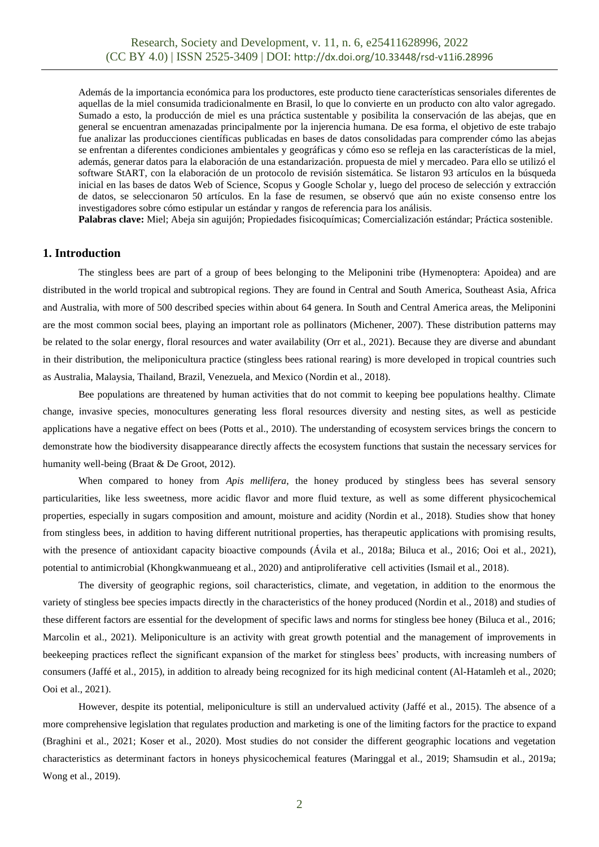Además de la importancia económica para los productores, este producto tiene características sensoriales diferentes de aquellas de la miel consumida tradicionalmente en Brasil, lo que lo convierte en un producto con alto valor agregado. Sumado a esto, la producción de miel es una práctica sustentable y posibilita la conservación de las abejas, que en general se encuentran amenazadas principalmente por la injerencia humana. De esa forma, el objetivo de este trabajo fue analizar las producciones científicas publicadas en bases de datos consolidadas para comprender cómo las abejas se enfrentan a diferentes condiciones ambientales y geográficas y cómo eso se refleja en las características de la miel, además, generar datos para la elaboración de una estandarización. propuesta de miel y mercadeo. Para ello se utilizó el software StART, con la elaboración de un protocolo de revisión sistemática. Se listaron 93 artículos en la búsqueda inicial en las bases de datos Web of Science, Scopus y Google Scholar y, luego del proceso de selección y extracción de datos, se seleccionaron 50 artículos. En la fase de resumen, se observó que aún no existe consenso entre los investigadores sobre cómo estipular un estándar y rangos de referencia para los análisis.

**Palabras clave:** Miel; Abeja sin aguijón; Propiedades fisicoquímicas; Comercialización estándar; Práctica sostenible.

#### **1. Introduction**

The stingless bees are part of a group of bees belonging to the Meliponini tribe (Hymenoptera: Apoidea) and are distributed in the world tropical and subtropical regions. They are found in Central and South America, Southeast Asia, Africa and Australia, with more of 500 described species within about 64 genera. In South and Central America areas, the Meliponini are the most common social bees, playing an important role as pollinators (Michener, 2007). These distribution patterns may be related to the solar energy, floral resources and water availability (Orr et al., 2021). Because they are diverse and abundant in their distribution, the meliponicultura practice (stingless bees rational rearing) is more developed in tropical countries such as Australia, Malaysia, Thailand, Brazil, Venezuela, and Mexico (Nordin et al., 2018).

Bee populations are threatened by human activities that do not commit to keeping bee populations healthy. Climate change, invasive species, monocultures generating less floral resources diversity and nesting sites, as well as pesticide applications have a negative effect on bees (Potts et al., 2010). The understanding of ecosystem services brings the concern to demonstrate how the biodiversity disappearance directly affects the ecosystem functions that sustain the necessary services for humanity well-being (Braat & De Groot, 2012).

When compared to honey from *Apis mellifera*, the honey produced by stingless bees has several sensory particularities, like less sweetness, more acidic flavor and more fluid texture, as well as some different physicochemical properties, especially in sugars composition and amount, moisture and acidity (Nordin et al., 2018). Studies show that honey from stingless bees, in addition to having different nutritional properties, has therapeutic applications with promising results, with the presence of antioxidant capacity bioactive compounds (Ávila et al., 2018a; Biluca et al., 2016; Ooi et al., 2021), potential to antimicrobial (Khongkwanmueang et al., 2020) and antiproliferative cell activities (Ismail et al., 2018).

The diversity of geographic regions, soil characteristics, climate, and vegetation, in addition to the enormous the variety of stingless bee species impacts directly in the characteristics of the honey produced (Nordin et al., 2018) and studies of these different factors are essential for the development of specific laws and norms for stingless bee honey (Biluca et al., 2016; Marcolin et al., 2021). Meliponiculture is an activity with great growth potential and the management of improvements in beekeeping practices reflect the significant expansion of the market for stingless bees' products, with increasing numbers of consumers (Jaffé et al., 2015), in addition to already being recognized for its high medicinal content (Al-Hatamleh et al., 2020; Ooi et al., 2021).

However, despite its potential, meliponiculture is still an undervalued activity (Jaffé et al., 2015). The absence of a more comprehensive legislation that regulates production and marketing is one of the limiting factors for the practice to expand (Braghini et al., 2021; Koser et al., 2020). Most studies do not consider the different geographic locations and vegetation characteristics as determinant factors in honeys physicochemical features (Maringgal et al., 2019; Shamsudin et al., 2019a; Wong et al., 2019).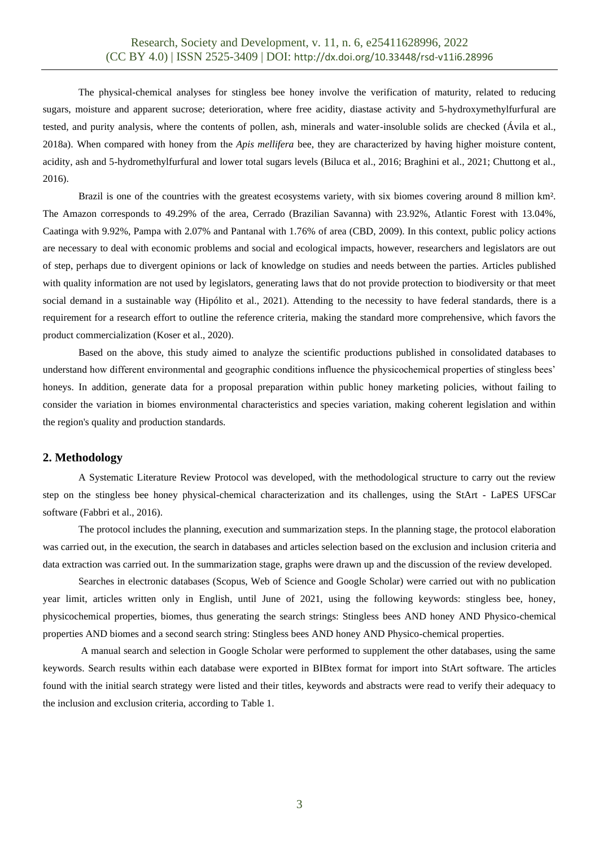The physical-chemical analyses for stingless bee honey involve the verification of maturity, related to reducing sugars, moisture and apparent sucrose; deterioration, where free acidity, diastase activity and 5-hydroxymethylfurfural are tested, and purity analysis, where the contents of pollen, ash, minerals and water-insoluble solids are checked (Ávila et al., 2018a). When compared with honey from the *Apis mellifera* bee, they are characterized by having higher moisture content, acidity, ash and 5-hydromethylfurfural and lower total sugars levels (Biluca et al., 2016; Braghini et al., 2021; Chuttong et al., 2016).

Brazil is one of the countries with the greatest ecosystems variety, with six biomes covering around 8 million km². The Amazon corresponds to 49.29% of the area, Cerrado (Brazilian Savanna) with 23.92%, Atlantic Forest with 13.04%, Caatinga with 9.92%, Pampa with 2.07% and Pantanal with 1.76% of area (CBD, 2009). In this context, public policy actions are necessary to deal with economic problems and social and ecological impacts, however, researchers and legislators are out of step, perhaps due to divergent opinions or lack of knowledge on studies and needs between the parties. Articles published with quality information are not used by legislators, generating laws that do not provide protection to biodiversity or that meet social demand in a sustainable way (Hipólito et al., 2021). Attending to the necessity to have federal standards, there is a requirement for a research effort to outline the reference criteria, making the standard more comprehensive, which favors the product commercialization (Koser et al., 2020).

Based on the above, this study aimed to analyze the scientific productions published in consolidated databases to understand how different environmental and geographic conditions influence the physicochemical properties of stingless bees' honeys. In addition, generate data for a proposal preparation within public honey marketing policies, without failing to consider the variation in biomes environmental characteristics and species variation, making coherent legislation and within the region's quality and production standards.

### **2. Methodology**

A Systematic Literature Review Protocol was developed, with the methodological structure to carry out the review step on the stingless bee honey physical-chemical characterization and its challenges, using the StArt - LaPES UFSCar software (Fabbri et al., 2016).

The protocol includes the planning, execution and summarization steps. In the planning stage, the protocol elaboration was carried out, in the execution, the search in databases and articles selection based on the exclusion and inclusion criteria and data extraction was carried out. In the summarization stage, graphs were drawn up and the discussion of the review developed.

Searches in electronic databases (Scopus, Web of Science and Google Scholar) were carried out with no publication year limit, articles written only in English, until June of 2021, using the following keywords: stingless bee, honey, physicochemical properties, biomes, thus generating the search strings: Stingless bees AND honey AND Physico-chemical properties AND biomes and a second search string: Stingless bees AND honey AND Physico-chemical properties.

A manual search and selection in Google Scholar were performed to supplement the other databases, using the same keywords. Search results within each database were exported in BIBtex format for import into StArt software. The articles found with the initial search strategy were listed and their titles, keywords and abstracts were read to verify their adequacy to the inclusion and exclusion criteria, according to Table 1.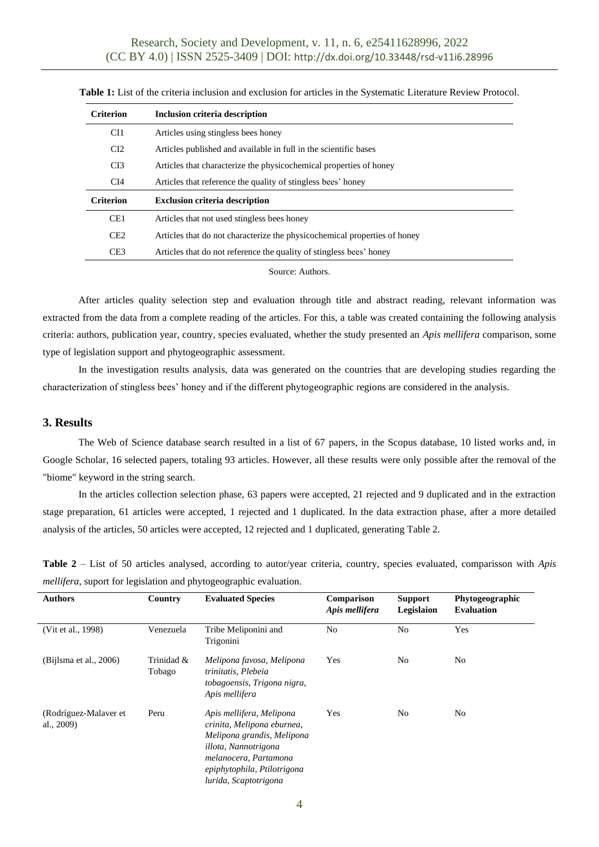| <b>Criterion</b> | Inclusion criteria description                                            |
|------------------|---------------------------------------------------------------------------|
| CI1              | Articles using stingless bees honey                                       |
| CI2              | Articles published and available in full in the scientific bases          |
| CI3              | Articles that characterize the physicochemical properties of honey        |
| CI4              | Articles that reference the quality of stingless bees' honey              |
|                  |                                                                           |
| <b>Criterion</b> | <b>Exclusion criteria description</b>                                     |
| CE <sub>1</sub>  | Articles that not used stingless bees honey                               |
| CE2              | Articles that do not characterize the physicochemical properties of honey |
| CE <sub>3</sub>  | Articles that do not reference the quality of stingless bees' honey       |

**Table 1:** List of the criteria inclusion and exclusion for articles in the Systematic Literature Review Protocol.

Source: Authors.

After articles quality selection step and evaluation through title and abstract reading, relevant information was extracted from the data from a complete reading of the articles. For this, a table was created containing the following analysis criteria: authors, publication year, country, species evaluated, whether the study presented an *Apis mellifera* comparison, some type of legislation support and phytogeographic assessment.

In the investigation results analysis, data was generated on the countries that are developing studies regarding the characterization of stingless bees' honey and if the different phytogeographic regions are considered in the analysis.

### **3. Results**

The Web of Science database search resulted in a list of 67 papers, in the Scopus database, 10 listed works and, in Google Scholar, 16 selected papers, totaling 93 articles. However, all these results were only possible after the removal of the "biome" keyword in the string search.

In the articles collection selection phase, 63 papers were accepted, 21 rejected and 9 duplicated and in the extraction stage preparation, 61 articles were accepted, 1 rejected and 1 duplicated. In the data extraction phase, after a more detailed analysis of the articles, 50 articles were accepted, 12 rejected and 1 duplicated, generating Table 2.

|                                                                                                                             | $\alpha$ , multiple $\alpha$ |  |  |  |  |  |
|-----------------------------------------------------------------------------------------------------------------------------|------------------------------|--|--|--|--|--|
| <i>mellifera</i> , suport for legislation and phytogeographic evaluation.                                                   |                              |  |  |  |  |  |
| Table 2 – List of 50 articles analysed, according to autor/year criteria, country, species evaluated, comparisson with Apis |                              |  |  |  |  |  |

| <b>Authors</b>                         | Country              | <b>Evaluated Species</b>                                                                                                                                                                      | Comparison<br>Apis mellifera | <b>Support</b><br>Legislaion | Phytogeographic<br><b>Evaluation</b> |  |
|----------------------------------------|----------------------|-----------------------------------------------------------------------------------------------------------------------------------------------------------------------------------------------|------------------------------|------------------------------|--------------------------------------|--|
| (Vit et al., 1998)                     | Venezuela            | Tribe Meliponini and<br>Trigonini                                                                                                                                                             | No                           | No                           | Yes                                  |  |
| (Bijlsma et al., 2006)                 | Trinidad &<br>Tobago | Melipona favosa, Melipona<br>trinitatis, Plebeia<br>tobagoensis, Trigona nigra,<br>Apis mellifera                                                                                             | Yes                          | No                           | No                                   |  |
| (Rodríguez-Malaver et<br>al., $2009$ ) | Peru                 | Apis mellifera, Melipona<br>crinita, Melipona eburnea,<br>Melipona grandis, Melipona<br>illota, Nannotrigona<br>melanocera, Partamona<br>epiphytophila, Ptilotrigona<br>lurida, Scaptotrigona | Yes                          | No                           | No                                   |  |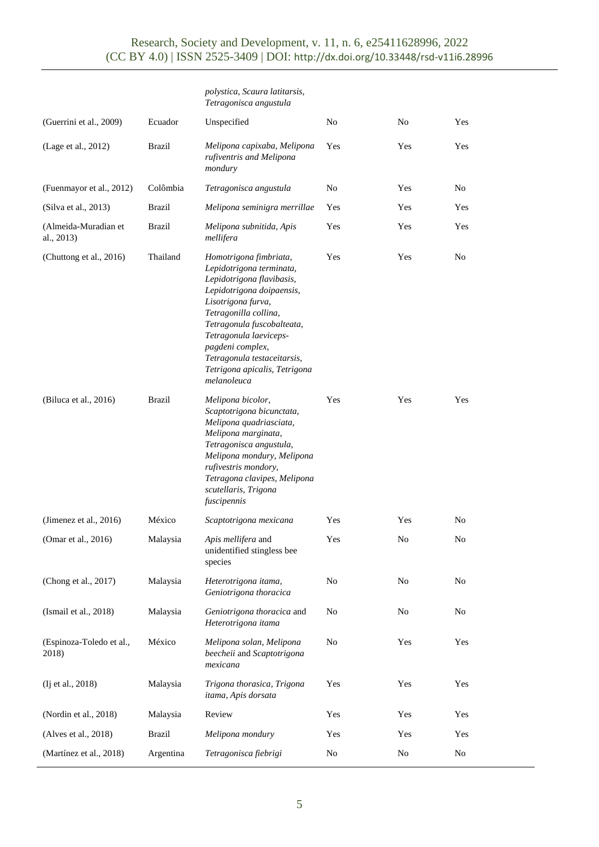|                                    |               | polystica, Scaura latitarsis,<br>Tetragonisca angustula                                                                                                                                                                                                                                                                |                |     |                |
|------------------------------------|---------------|------------------------------------------------------------------------------------------------------------------------------------------------------------------------------------------------------------------------------------------------------------------------------------------------------------------------|----------------|-----|----------------|
| (Guerrini et al., 2009)            | Ecuador       | Unspecified                                                                                                                                                                                                                                                                                                            | N <sub>o</sub> | No  | Yes            |
| (Lage et al., 2012)                | <b>Brazil</b> | Melipona capixaba, Melipona<br>rufiventris and Melipona<br>mondury                                                                                                                                                                                                                                                     | Yes            | Yes | Yes            |
| (Fuenmayor et al., 2012)           | Colômbia      | Tetragonisca angustula                                                                                                                                                                                                                                                                                                 | N <sub>o</sub> | Yes | N <sub>0</sub> |
| (Silva et al., 2013)               | <b>Brazil</b> | Melipona seminigra merrillae                                                                                                                                                                                                                                                                                           | Yes            | Yes | Yes            |
| (Almeida-Muradian et<br>al., 2013) | <b>Brazil</b> | Melipona subnitida, Apis<br>mellifera                                                                                                                                                                                                                                                                                  | Yes            | Yes | Yes            |
| (Chuttong et al., 2016)            | Thailand      | Homotrigona fimbriata,<br>Lepidotrigona terminata,<br>Lepidotrigona flavibasis,<br>Lepidotrigona doipaensis,<br>Lisotrigona furva,<br>Tetragonilla collina,<br>Tetragonula fuscobalteata,<br>Tetragonula laeviceps-<br>pagdeni complex,<br>Tetragonula testaceitarsis,<br>Tetrigona apicalis, Tetrigona<br>melanoleuca | Yes            | Yes | No             |
| (Biluca et al., 2016)              | <b>Brazil</b> | Melipona bicolor,<br>Scaptotrigona bicunctata,<br>Melipona quadriasciata,<br>Melipona marginata,<br>Tetragonisca angustula,<br>Melipona mondury, Melipona<br>rufivestris mondory,<br>Tetragona clavipes, Melipona<br>scutellaris, Trigona<br>fuscipennis                                                               | Yes            | Yes | Yes            |
| (Jimenez et al., $2016$ )          | México        | Scaptotrigona mexicana                                                                                                                                                                                                                                                                                                 | Yes            | Yes | No             |
| (Omar et al., 2016)                | Malaysia      | Apis mellifera and<br>unidentified stingless bee<br>species                                                                                                                                                                                                                                                            | Yes            | No  | No             |
| (Chong et al., 2017)               | Malaysia      | Heterotrigona itama,<br>Geniotrigona thoracica                                                                                                                                                                                                                                                                         | No             | No  | No             |
| (Ismail et al., 2018)              | Malaysia      | Geniotrigona thoracica and<br>Heterotrigona itama                                                                                                                                                                                                                                                                      | No             | No  | No             |
| (Espinoza-Toledo et al.,<br>2018)  | México        | Melipona solan, Melipona<br>beecheii and Scaptotrigona<br>mexicana                                                                                                                                                                                                                                                     | No             | Yes | Yes            |
| (Ij et al., 2018)                  | Malaysia      | Trigona thorasica, Trigona<br>itama, Apis dorsata                                                                                                                                                                                                                                                                      | Yes            | Yes | Yes            |
| (Nordin et al., 2018)              | Malaysia      | Review                                                                                                                                                                                                                                                                                                                 | Yes            | Yes | Yes            |
| (Alves et al., 2018)               | <b>Brazil</b> | Melipona mondury                                                                                                                                                                                                                                                                                                       | Yes            | Yes | Yes            |
| (Martínez et al., 2018)            | Argentina     | Tetragonisca fiebrigi                                                                                                                                                                                                                                                                                                  | No             | No  | No             |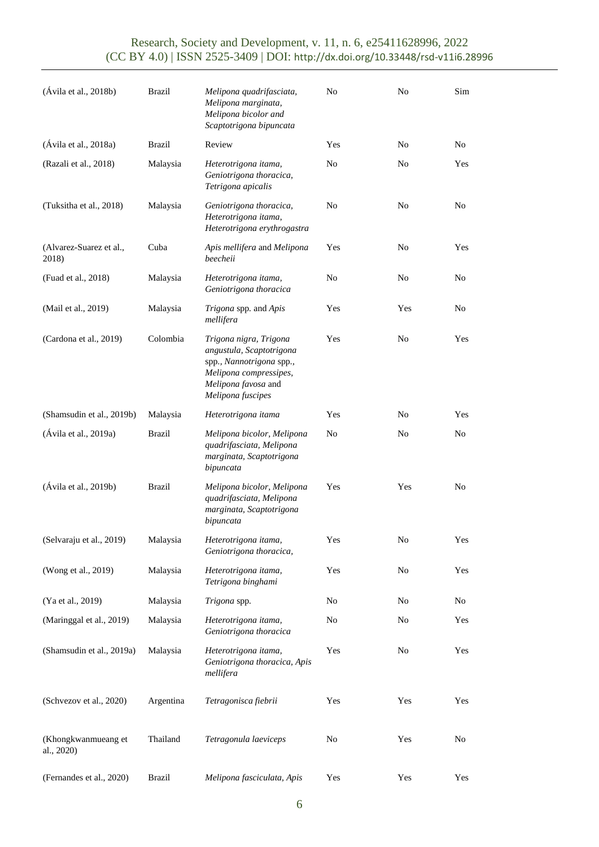# Research, Society and Development, v. 11, n. 6, e25411628996, 2022 (CC BY 4.0) | ISSN 2525-3409 | DOI: <http://dx.doi.org/10.33448/rsd-v11i6.28996>

| (Ávila et al., 2018b)             | <b>Brazil</b> | Melipona quadrifasciata,<br>Melipona marginata,<br>Melipona bicolor and<br>Scaptotrigona bipuncata                                                   | No  | N <sub>o</sub> | Sim |
|-----------------------------------|---------------|------------------------------------------------------------------------------------------------------------------------------------------------------|-----|----------------|-----|
| (Ávila et al., 2018a)             | <b>Brazil</b> | Review                                                                                                                                               | Yes | No             | No  |
| (Razali et al., 2018)             | Malaysia      | Heterotrigona itama,<br>Geniotrigona thoracica,<br>Tetrigona apicalis                                                                                | No  | No             | Yes |
| (Tuksitha et al., 2018)           | Malaysia      | Geniotrigona thoracica,<br>Heterotrigona itama,<br>Heterotrigona erythrogastra                                                                       | No  | No             | No  |
| (Alvarez-Suarez et al.,<br>2018)  | Cuba          | Apis mellifera and Melipona<br>beecheii                                                                                                              | Yes | No             | Yes |
| (Fuad et al., 2018)               | Malaysia      | Heterotrigona itama,<br>Geniotrigona thoracica                                                                                                       | No  | No             | No  |
| (Mail et al., 2019)               | Malaysia      | Trigona spp. and Apis<br>mellifera                                                                                                                   | Yes | Yes            | No  |
| (Cardona et al., 2019)            | Colombia      | Trigona nigra, Trigona<br>angustula, Scaptotrigona<br>spp., Nannotrigona spp.,<br>Melipona compressipes,<br>Melipona favosa and<br>Melipona fuscipes | Yes | No             | Yes |
| (Shamsudin et al., 2019b)         | Malaysia      | Heterotrigona itama                                                                                                                                  | Yes | No             | Yes |
| (Ávila et al., 2019a)             | <b>Brazil</b> | Melipona bicolor, Melipona<br>quadrifasciata, Melipona<br>marginata, Scaptotrigona<br>bipuncata                                                      | No  | No             | No  |
| (Ávila et al., 2019b)             | <b>Brazil</b> | Melipona bicolor, Melipona<br>quadrifasciata, Melipona<br>marginata, Scaptotrigona<br>bipuncata                                                      | Yes | Yes            | No  |
| (Selvaraju et al., 2019)          | Malaysia      | Heterotrigona itama,<br>Geniotrigona thoracica,                                                                                                      | Yes | No             | Yes |
| (Wong et al., 2019)               | Malaysia      | Heterotrigona itama,<br>Tetrigona binghami                                                                                                           | Yes | No             | Yes |
| (Ya et al., 2019)                 | Malaysia      | Trigona spp.                                                                                                                                         | No  | No             | No  |
| (Maringgal et al., 2019)          | Malaysia      | Heterotrigona itama,<br>Geniotrigona thoracica                                                                                                       | No  | No             | Yes |
| (Shamsudin et al., 2019a)         | Malaysia      | Heterotrigona itama,<br>Geniotrigona thoracica, Apis<br>mellifera                                                                                    | Yes | No             | Yes |
| (Schvezov et al., 2020)           | Argentina     | Tetragonisca fiebrii                                                                                                                                 | Yes | Yes            | Yes |
| (Khongkwanmueang et<br>al., 2020) | Thailand      | Tetragonula laeviceps                                                                                                                                | No  | Yes            | No  |
| (Fernandes et al., 2020)          | <b>Brazil</b> | Melipona fasciculata, Apis                                                                                                                           | Yes | Yes            | Yes |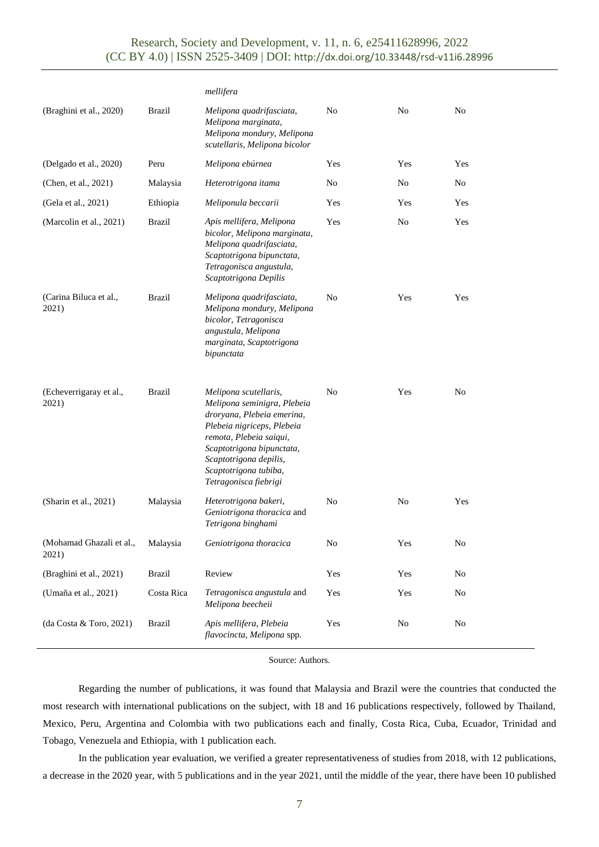## Research, Society and Development, v. 11, n. 6, e25411628996, 2022 (CC BY 4.0) | ISSN 2525-3409 | DOI: <http://dx.doi.org/10.33448/rsd-v11i6.28996>

|                                   |               | mellifera                                                                                                                                                                                                                                            |     |     |                |
|-----------------------------------|---------------|------------------------------------------------------------------------------------------------------------------------------------------------------------------------------------------------------------------------------------------------------|-----|-----|----------------|
| (Braghini et al., 2020)           | <b>Brazil</b> | Melipona quadrifasciata,<br>Melipona marginata,<br>Melipona mondury, Melipona<br>scutellaris, Melipona bicolor                                                                                                                                       | No  | No  | N <sub>0</sub> |
| (Delgado et al., 2020)            | Peru          | Melipona ebúrnea                                                                                                                                                                                                                                     | Yes | Yes | Yes            |
| (Chen, et al., 2021)              | Malaysia      | Heterotrigona itama                                                                                                                                                                                                                                  | No  | No  | No             |
| (Gela et al., 2021)               | Ethiopia      | Meliponula beccarii                                                                                                                                                                                                                                  | Yes | Yes | Yes            |
| (Marcolin et al., 2021)           | <b>Brazil</b> | Apis mellifera, Melipona<br>bicolor, Melipona marginata,<br>Melipona quadrifasciata,<br>Scaptotrigona bipunctata,<br>Tetragonisca angustula,<br>Scaptotrigona Depilis                                                                                | Yes | No  | Yes            |
| (Carina Biluca et al.,<br>2021)   | <b>Brazil</b> | Melipona quadrifasciata,<br>Melipona mondury, Melipona<br>bicolor, Tetragonisca<br>angustula, Melipona<br>marginata, Scaptotrigona<br>bipunctata                                                                                                     | No  | Yes | Yes            |
| (Echeverrigaray et al.,<br>2021)  | Brazil        | Melipona scutellaris,<br>Melipona seminigra, Plebeia<br>droryana, Plebeia emerina,<br>Plebeia nigriceps, Plebeia<br>remota, Plebeia saiqui,<br>Scaptotrigona bipunctata,<br>Scaptotrigona depilis,<br>Scaptotrigona tubiba,<br>Tetragonisca fiebrigi | No  | Yes | N <sub>0</sub> |
| (Sharin et al., 2021)             | Malaysia      | Heterotrigona bakeri,<br>Geniotrigona thoracica and<br>Tetrigona binghami                                                                                                                                                                            | No  | No  | Yes            |
| (Mohamad Ghazali et al.,<br>2021) | Malaysia      | Geniotrigona thoracica                                                                                                                                                                                                                               | No  | Yes | No             |
| (Braghini et al., 2021)           | <b>Brazil</b> | Review                                                                                                                                                                                                                                               | Yes | Yes | No             |
| (Umaña et al., 2021)              | Costa Rica    | Tetragonisca angustula and<br>Melipona beecheii                                                                                                                                                                                                      | Yes | Yes | $\rm No$       |
| (da Costa & Toro, 2021)           | <b>Brazil</b> | Apis mellifera, Plebeia<br>flavocincta, Melipona spp.                                                                                                                                                                                                | Yes | No  | No             |

Source: Authors.

Regarding the number of publications, it was found that Malaysia and Brazil were the countries that conducted the most research with international publications on the subject, with 18 and 16 publications respectively, followed by Thailand, Mexico, Peru, Argentina and Colombia with two publications each and finally, Costa Rica, Cuba, Ecuador, Trinidad and Tobago, Venezuela and Ethiopia, with 1 publication each.

In the publication year evaluation, we verified a greater representativeness of studies from 2018, with 12 publications, a decrease in the 2020 year, with 5 publications and in the year 2021, until the middle of the year, there have been 10 published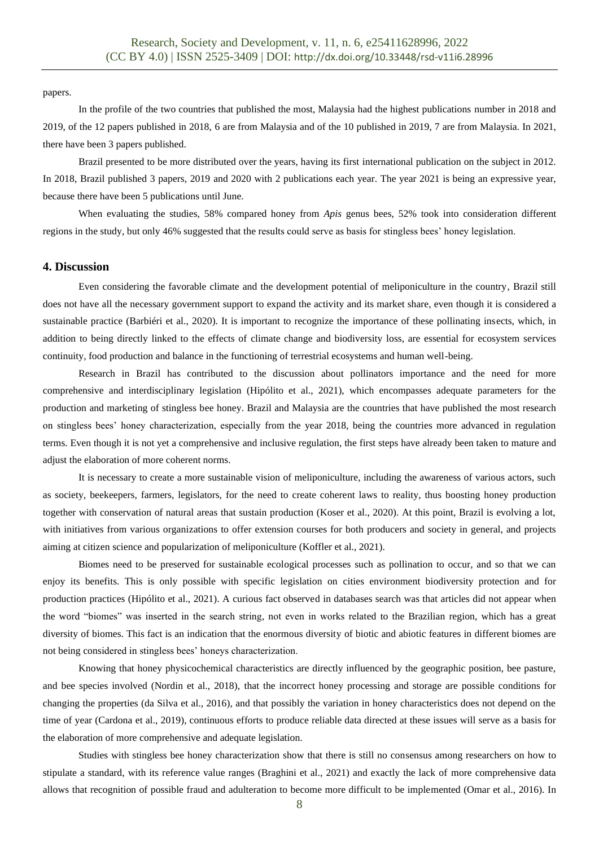papers.

In the profile of the two countries that published the most, Malaysia had the highest publications number in 2018 and 2019, of the 12 papers published in 2018, 6 are from Malaysia and of the 10 published in 2019, 7 are from Malaysia. In 2021, there have been 3 papers published.

Brazil presented to be more distributed over the years, having its first international publication on the subject in 2012. In 2018, Brazil published 3 papers, 2019 and 2020 with 2 publications each year. The year 2021 is being an expressive year, because there have been 5 publications until June.

When evaluating the studies, 58% compared honey from *Apis* genus bees, 52% took into consideration different regions in the study, but only 46% suggested that the results could serve as basis for stingless bees' honey legislation.

### **4. Discussion**

Even considering the favorable climate and the development potential of meliponiculture in the country, Brazil still does not have all the necessary government support to expand the activity and its market share, even though it is considered a sustainable practice (Barbiéri et al., 2020). It is important to recognize the importance of these pollinating insects, which, in addition to being directly linked to the effects of climate change and biodiversity loss, are essential for ecosystem services continuity, food production and balance in the functioning of terrestrial ecosystems and human well-being.

Research in Brazil has contributed to the discussion about pollinators importance and the need for more comprehensive and interdisciplinary legislation (Hipólito et al., 2021), which encompasses adequate parameters for the production and marketing of stingless bee honey. Brazil and Malaysia are the countries that have published the most research on stingless bees' honey characterization, especially from the year 2018, being the countries more advanced in regulation terms. Even though it is not yet a comprehensive and inclusive regulation, the first steps have already been taken to mature and adjust the elaboration of more coherent norms.

It is necessary to create a more sustainable vision of meliponiculture, including the awareness of various actors, such as society, beekeepers, farmers, legislators, for the need to create coherent laws to reality, thus boosting honey production together with conservation of natural areas that sustain production (Koser et al., 2020). At this point, Brazil is evolving a lot, with initiatives from various organizations to offer extension courses for both producers and society in general, and projects aiming at citizen science and popularization of meliponiculture (Koffler et al., 2021).

Biomes need to be preserved for sustainable ecological processes such as pollination to occur, and so that we can enjoy its benefits. This is only possible with specific legislation on cities environment biodiversity protection and for production practices (Hipólito et al., 2021). A curious fact observed in databases search was that articles did not appear when the word "biomes" was inserted in the search string, not even in works related to the Brazilian region, which has a great diversity of biomes. This fact is an indication that the enormous diversity of biotic and abiotic features in different biomes are not being considered in stingless bees' honeys characterization.

Knowing that honey physicochemical characteristics are directly influenced by the geographic position, bee pasture, and bee species involved (Nordin et al., 2018), that the incorrect honey processing and storage are possible conditions for changing the properties (da Silva et al., 2016), and that possibly the variation in honey characteristics does not depend on the time of year (Cardona et al., 2019), continuous efforts to produce reliable data directed at these issues will serve as a basis for the elaboration of more comprehensive and adequate legislation.

Studies with stingless bee honey characterization show that there is still no consensus among researchers on how to stipulate a standard, with its reference value ranges (Braghini et al., 2021) and exactly the lack of more comprehensive data allows that recognition of possible fraud and adulteration to become more difficult to be implemented (Omar et al., 2016). In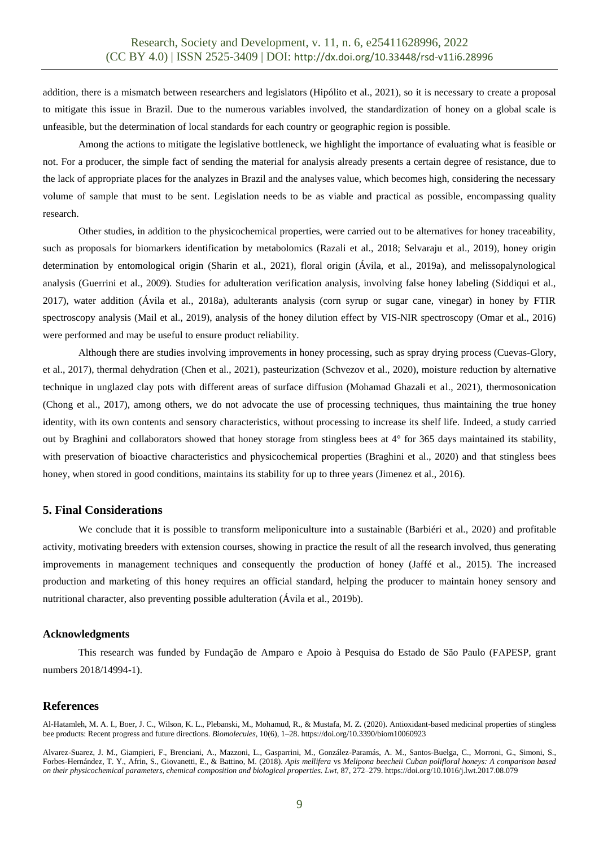addition, there is a mismatch between researchers and legislators (Hipólito et al., 2021), so it is necessary to create a proposal to mitigate this issue in Brazil. Due to the numerous variables involved, the standardization of honey on a global scale is unfeasible, but the determination of local standards for each country or geographic region is possible.

Among the actions to mitigate the legislative bottleneck, we highlight the importance of evaluating what is feasible or not. For a producer, the simple fact of sending the material for analysis already presents a certain degree of resistance, due to the lack of appropriate places for the analyzes in Brazil and the analyses value, which becomes high, considering the necessary volume of sample that must to be sent. Legislation needs to be as viable and practical as possible, encompassing quality research.

Other studies, in addition to the physicochemical properties, were carried out to be alternatives for honey traceability, such as proposals for biomarkers identification by metabolomics (Razali et al., 2018; Selvaraju et al., 2019), honey origin determination by entomological origin (Sharin et al., 2021), floral origin (Ávila, et al., 2019a), and melissopalynological analysis (Guerrini et al., 2009). Studies for adulteration verification analysis, involving false honey labeling (Siddiqui et al., 2017), water addition (Ávila et al., 2018a), adulterants analysis (corn syrup or sugar cane, vinegar) in honey by FTIR spectroscopy analysis (Mail et al., 2019), analysis of the honey dilution effect by VIS-NIR spectroscopy (Omar et al., 2016) were performed and may be useful to ensure product reliability.

Although there are studies involving improvements in honey processing, such as spray drying process (Cuevas-Glory, et al., 2017), thermal dehydration (Chen et al., 2021), pasteurization (Schvezov et al., 2020), moisture reduction by alternative technique in unglazed clay pots with different areas of surface diffusion (Mohamad Ghazali et al., 2021), thermosonication (Chong et al., 2017), among others, we do not advocate the use of processing techniques, thus maintaining the true honey identity, with its own contents and sensory characteristics, without processing to increase its shelf life. Indeed, a study carried out by Braghini and collaborators showed that honey storage from stingless bees at 4° for 365 days maintained its stability, with preservation of bioactive characteristics and physicochemical properties (Braghini et al., 2020) and that stingless bees honey, when stored in good conditions, maintains its stability for up to three years (Jimenez et al., 2016).

### **5. Final Considerations**

We conclude that it is possible to transform meliponiculture into a sustainable (Barbiéri et al., 2020) and profitable activity, motivating breeders with extension courses, showing in practice the result of all the research involved, thus generating improvements in management techniques and consequently the production of honey (Jaffé et al., 2015). The increased production and marketing of this honey requires an official standard, helping the producer to maintain honey sensory and nutritional character, also preventing possible adulteration (Ávila et al., 2019b).

#### **Acknowledgments**

This research was funded by Fundação de Amparo e Apoio à Pesquisa do Estado de São Paulo (FAPESP, grant numbers 2018/14994-1).

#### **References**

Al-Hatamleh, M. A. I., Boer, J. C., Wilson, K. L., Plebanski, M., Mohamud, R., & Mustafa, M. Z. (2020). Antioxidant-based medicinal properties of stingless bee products: Recent progress and future directions. *Biomolecules,* 10(6), 1–28. https://doi.org/10.3390/biom10060923

Alvarez-Suarez, J. M., Giampieri, F., Brenciani, A., Mazzoni, L., Gasparrini, M., González-Paramás, A. M., Santos-Buelga, C., Morroni, G., Simoni, S., Forbes-Hernández, T. Y., Afrin, S., Giovanetti, E., & Battino, M. (2018). *Apis mellifera* vs *Melipona beecheii Cuban polifloral honeys: A comparison based on their physicochemical parameters, chemical composition and biological properties. Lwt*, 87, 272–279. https://doi.org/10.1016/j.lwt.2017.08.079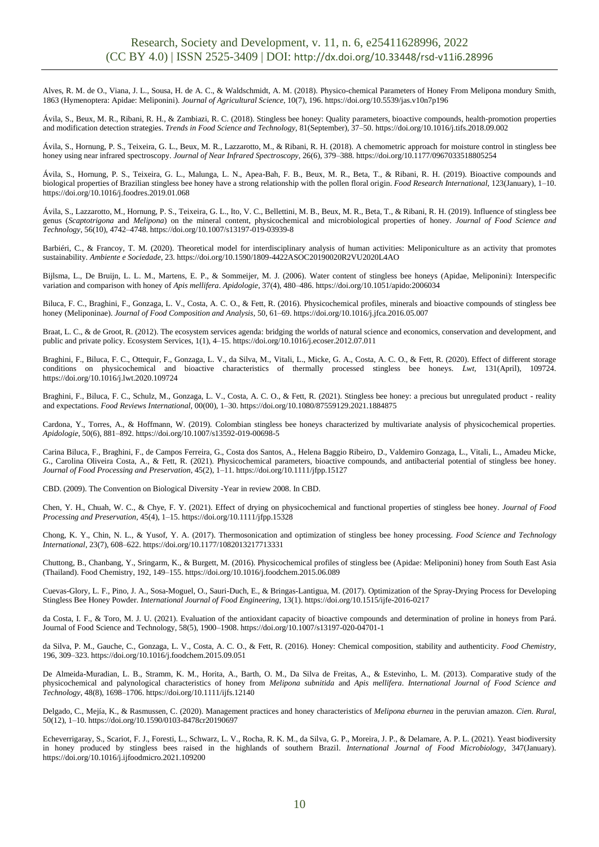Alves, R. M. de O., Viana, J. L., Sousa, H. de A. C., & Waldschmidt, A. M. (2018). Physico-chemical Parameters of Honey From Melipona mondury Smith, 1863 (Hymenoptera: Apidae: Meliponini). *Journal of Agricultural Science*, 10(7), 196. https://doi.org/10.5539/jas.v10n7p196

Ávila, S., Beux, M. R., Ribani, R. H., & Zambiazi, R. C. (2018). Stingless bee honey: Quality parameters, bioactive compounds, health-promotion properties and modification detection strategies. *Trends in Food Science and Technology,* 81(September), 37–50. https://doi.org/10.1016/j.tifs.2018.09.002

Ávila, S., Hornung, P. S., Teixeira, G. L., Beux, M. R., Lazzarotto, M., & Ribani, R. H. (2018). A chemometric approach for moisture control in stingless bee honey using near infrared spectroscopy. *Journal of Near Infrared Spectroscopy,* 26(6), 379–388. https://doi.org/10.1177/0967033518805254

Ávila, S., Hornung, P. S., Teixeira, G. L., Malunga, L. N., Apea-Bah, F. B., Beux, M. R., Beta, T., & Ribani, R. H. (2019). Bioactive compounds and biological properties of Brazilian stingless bee honey have a strong relationship with the pollen floral origin. *Food Research International,* 123(January), 1–10. https://doi.org/10.1016/j.foodres.2019.01.068

Ávila, S., Lazzarotto, M., Hornung, P. S., Teixeira, G. L., Ito, V. C., Bellettini, M. B., Beux, M. R., Beta, T., & Ribani, R. H. (2019). Influence of stingless bee genus (*Scaptotrigona* and *Melipona*) on the mineral content, physicochemical and microbiological properties of honey. *Journal of Food Science and Technology*, 56(10), 4742–4748. https://doi.org/10.1007/s13197-019-03939-8

Barbiéri, C., & Francoy, T. M. (2020). Theoretical model for interdisciplinary analysis of human activities: Meliponiculture as an activity that promotes sustainability. *Ambiente e Sociedade*, 23. https://doi.org/10.1590/1809-4422ASOC20190020R2VU2020L4AO

Bijlsma, L., De Bruijn, L. L. M., Martens, E. P., & Sommeijer, M. J. (2006). Water content of stingless bee honeys (Apidae, Meliponini): Interspecific variation and comparison with honey of *Apis mellifera*. *Apidologie,* 37(4), 480–486. https://doi.org/10.1051/apido:2006034

Biluca, F. C., Braghini, F., Gonzaga, L. V., Costa, A. C. O., & Fett, R. (2016). Physicochemical profiles, minerals and bioactive compounds of stingless bee honey (Meliponinae). *Journal of Food Composition and Analysis,* 50, 61–69. https://doi.org/10.1016/j.jfca.2016.05.007

Braat, L. C., & de Groot, R. (2012). The ecosystem services agenda: bridging the worlds of natural science and economics, conservation and development, and public and private policy. Ecosystem Services, 1(1), 4–15. https://doi.org/10.1016/j.ecoser.2012.07.011

Braghini, F., Biluca, F. C., Ottequir, F., Gonzaga, L. V., da Silva, M., Vitali, L., Micke, G. A., Costa, A. C. O., & Fett, R. (2020). Effect of different storage conditions on physicochemical and bioactive characteristics of thermally processed stingless bee honeys. *Lwt,* 131(April), 109724. https://doi.org/10.1016/j.lwt.2020.109724

Braghini, F., Biluca, F. C., Schulz, M., Gonzaga, L. V., Costa, A. C. O., & Fett, R. (2021). Stingless bee honey: a precious but unregulated product - reality and expectations. *Food Reviews International,* 00(00), 1–30. https://doi.org/10.1080/87559129.2021.1884875

Cardona, Y., Torres, A., & Hoffmann, W. (2019). Colombian stingless bee honeys characterized by multivariate analysis of physicochemical properties. *Apidologie*, 50(6), 881–892. https://doi.org/10.1007/s13592-019-00698-5

Carina Biluca, F., Braghini, F., de Campos Ferreira, G., Costa dos Santos, A., Helena Baggio Ribeiro, D., Valdemiro Gonzaga, L., Vitali, L., Amadeu Micke, G., Carolina Oliveira Costa, A., & Fett, R. (2021). Physicochemical parameters, bioactive compounds, and antibacterial potential of stingless bee honey. *Journal of Food Processing and Preservation*, 45(2), 1–11. https://doi.org/10.1111/jfpp.15127

CBD. (2009). The Convention on Biological Diversity -Year in review 2008. In CBD.

Chen, Y. H., Chuah, W. C., & Chye, F. Y. (2021). Effect of drying on physicochemical and functional properties of stingless bee honey*. Journal of Food Processing and Preservation,* 45(4), 1–15. https://doi.org/10.1111/jfpp.15328

Chong, K. Y., Chin, N. L., & Yusof, Y. A. (2017). Thermosonication and optimization of stingless bee honey processing. *Food Science and Technology International*, 23(7), 608–622. https://doi.org/10.1177/1082013217713331

Chuttong, B., Chanbang, Y., Sringarm, K., & Burgett, M. (2016). Physicochemical profiles of stingless bee (Apidae: Meliponini) honey from South East Asia (Thailand). Food Chemistry, 192, 149–155. https://doi.org/10.1016/j.foodchem.2015.06.089

Cuevas-Glory, L. F., Pino, J. A., Sosa-Moguel, O., Sauri-Duch, E., & Bringas-Lantigua, M. (2017). Optimization of the Spray-Drying Process for Developing Stingless Bee Honey Powder*. International Journal of Food Engineering,* 13(1). https://doi.org/10.1515/ijfe-2016-0217

da Costa, I. F., & Toro, M. J. U. (2021). Evaluation of the antioxidant capacity of bioactive compounds and determination of proline in honeys from Pará. Journal of Food Science and Technology, 58(5), 1900–1908. https://doi.org/10.1007/s13197-020-04701-1

da Silva, P. M., Gauche, C., Gonzaga, L. V., Costa, A. C. O., & Fett, R. (2016). Honey: Chemical composition, stability and authenticity. *Food Chemistry,* 196, 309–323. https://doi.org/10.1016/j.foodchem.2015.09.051

De Almeida-Muradian, L. B., Stramm, K. M., Horita, A., Barth, O. M., Da Silva de Freitas, A., & Estevinho, L. M. (2013). Comparative study of the physicochemical and palynological characteristics of honey from *Melipona subnitida* and *Apis mellifera*. *International Journal of Food Science and Technology*, 48(8), 1698–1706. https://doi.org/10.1111/ijfs.12140

Delgado, C., Mejía, K., & Rasmussen, C. (2020). Management practices and honey characteristics of *Melipona eburnea* in the peruvian amazon. *Cien. Rural,* 50(12), 1–10. https://doi.org/10.1590/0103-8478cr20190697

Echeverrigaray, S., Scariot, F. J., Foresti, L., Schwarz, L. V., Rocha, R. K. M., da Silva, G. P., Moreira, J. P., & Delamare, A. P. L. (2021). Yeast biodiversity in honey produced by stingless bees raised in the highlands of southern Brazil. *International Journal of Food Microbiology*, 347(January). https://doi.org/10.1016/j.ijfoodmicro.2021.109200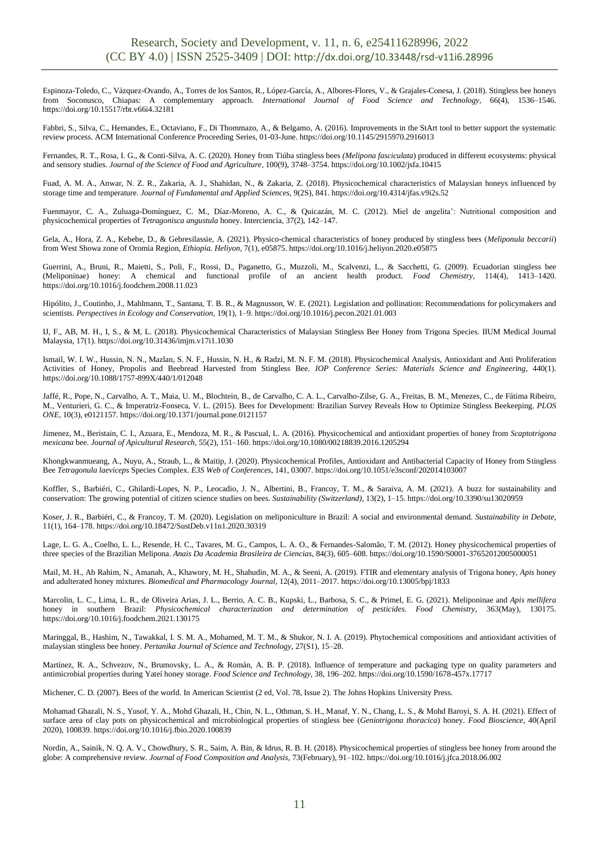Espinoza-Toledo, C., Vázquez-Ovando, A., Torres de los Santos, R., López-García, A., Albores-Flores, V., & Grajales-Conesa, J. (2018). Stingless bee honeys from Soconusco, Chiapas: A complementary approach. *International Journal of Food Science and Technology*, 66(4), 1536–1546. https://doi.org/10.15517/rbt.v66i4.32181

Fabbri, S., Silva, C., Hernandes, E., Octaviano, F., Di Thommazo, A., & Belgamo, A. (2016). Improvements in the StArt tool to better support the systematic review process. ACM International Conference Proceeding Series, 01-03-June. https://doi.org/10.1145/2915970.2916013

Fernandes, R. T., Rosa, I. G., & Conti-Silva, A. C. (2020). Honey from Tiúba stingless bees *(Melipona fasciculata*) produced in different ecosystems: physical and sensory studies. *Journal of the Science of Food and Agriculture*, 100(9), 3748–3754. https://doi.org/10.1002/jsfa.10415

Fuad, A. M. A., Anwar, N. Z. R., Zakaria, A. J., Shahidan, N., & Zakaria, Z. (2018). Physicochemical characteristics of Malaysian honeys influenced by storage time and temperature. *Journal of Fundamental and Applied Sciences*, 9(2S), 841. https://doi.org/10.4314/jfas.v9i2s.52

Fuenmayor, C. A., Zuluaga-Domínguez, C. M., Díaz-Moreno, A. C., & Quicazán, M. C. (2012). Miel de angelita': Nutritional composition and physicochemical properties of *Tetragonisca angustula* honey. Interciencia, 37(2), 142–147.

Gela, A., Hora, Z. A., Kebebe, D., & Gebresilassie, A. (2021). Physico-chemical characteristics of honey produced by stingless bees (*Meliponula beccarii*) from West Showa zone of Oromia Region, *Ethiopia. Heliyon*, 7(1), e05875. https://doi.org/10.1016/j.heliyon.2020.e05875

Guerrini, A., Bruni, R., Maietti, S., Poli, F., Rossi, D., Paganetto, G., Muzzoli, M., Scalvenzi, L., & Sacchetti, G. (2009). Ecuadorian stingless bee (Meliponinae) honey: A chemical and functional profile of an ancient health product. *Food Chemistry,* 114(4), 1413–1420. https://doi.org/10.1016/j.foodchem.2008.11.023

Hipólito, J., Coutinho, J., Mahlmann, T., Santana, T. B. R., & Magnusson, W. E. (2021). Legislation and pollination: Recommendations for policymakers and scientists. *Perspectives in Ecology and Conservation,* 19(1), 1–9. https://doi.org/10.1016/j.pecon.2021.01.003

IJ, F., AB, M. H., I, S., & M, L. (2018). Physicochemical Characteristics of Malaysian Stingless Bee Honey from Trigona Species. IIUM Medical Journal Malaysia, 17(1). https://doi.org/10.31436/imjm.v17i1.1030

Ismail, W. I. W., Hussin, N. N., Mazlan, S. N. F., Hussin, N. H., & Radzi, M. N. F. M. (2018). Physicochemical Analysis, Antioxidant and Anti Proliferation Activities of Honey, Propolis and Beebread Harvested from Stingless Bee. *IOP Conference Series: Materials Science and Engineering,* 440(1). https://doi.org/10.1088/1757-899X/440/1/012048

Jaffé, R., Pope, N., Carvalho, A. T., Maia, U. M., Blochtein, B., de Carvalho, C. A. L., Carvalho-Zilse, G. A., Freitas, B. M., Menezes, C., de Fátima Ribeiro, M., Venturieri, G. C., & Imperatriz-Fonseca, V. L. (2015). Bees for Development: Brazilian Survey Reveals How to Optimize Stingless Beekeeping. *PLOS ONE,* 10(3), e0121157. https://doi.org/10.1371/journal.pone.0121157

Jimenez, M., Beristain, C. I., Azuara, E., Mendoza, M. R., & Pascual, L. A. (2016). Physicochemical and antioxidant properties of honey from *Scaptotrigona mexicana* bee. *Journal of Apicultural Research,* 55(2), 151–160. https://doi.org/10.1080/00218839.2016.1205294

Khongkwanmueang, A., Nuyu, A., Straub, L., & Maitip, J. (2020). Physicochemical Profiles, Antioxidant and Antibacterial Capacity of Honey from Stingless Bee *Tetragonula laeviceps* Species Complex. *E3S Web of Conferences*, 141, 03007. https://doi.org/10.1051/e3sconf/202014103007

Koffler, S., Barbiéri, C., Ghilardi-Lopes, N. P., Leocadio, J. N., Albertini, B., Francoy, T. M., & Saraiva, A. M. (2021). A buzz for sustainability and conservation: The growing potential of citizen science studies on bees. *Sustainability (Switzerland),* 13(2), 1–15. https://doi.org/10.3390/su13020959

Koser, J. R., Barbiéri, C., & Francoy, T. M. (2020). Legislation on meliponiculture in Brazil: A social and environmental demand. *Sustainability in Debate,* 11(1), 164–178. https://doi.org/10.18472/SustDeb.v11n1.2020.30319

Lage, L. G. A., Coelho, L. L., Resende, H. C., Tavares, M. G., Campos, L. A. O., & Fernandes-Salomão, T. M. (2012). Honey physicochemical properties of three species of the Brazilian Melipona. *Anais Da Academia Brasileira de Ciencias,* 84(3), 605–608. https://doi.org/10.1590/S0001-37652012005000051

Mail, M. H., Ab Rahim, N., Amanah, A., Khawory, M. H., Shahudin, M. A., & Seeni, A. (2019). FTIR and elementary analysis of Trigona honey, *Apis* honey and adulterated honey mixtures. *Biomedical and Pharmacology Journal,* 12(4), 2011–2017. https://doi.org/10.13005/bpj/1833

Marcolin, L. C., Lima, L. R., de Oliveira Arias, J. L., Berrio, A. C. B., Kupski, L., Barbosa, S. C., & Primel, E. G. (2021). Meliponinae and *Apis mellifera* honey in southern Brazil: *Physicochemical characterization and determination of pesticides. Food Chemistry,* 363(May), 130175. https://doi.org/10.1016/j.foodchem.2021.130175

Maringgal, B., Hashim, N., Tawakkal, I. S. M. A., Mohamed, M. T. M., & Shukor, N. I. A. (2019). Phytochemical compositions and antioxidant activities of malaysian stingless bee honey. *Pertanika Journal of Science and Technology*, 27(S1), 15–28.

Martínez, R. A., Schvezov, N., Brumovsky, L. A., & Román, A. B. P. (2018). Influence of temperature and packaging type on quality parameters and antimicrobial properties during Yateí honey storage*. Food Science and Technology,* 38, 196–202. https://doi.org/10.1590/1678-457x.17717

Michener, C. D. (2007). Bees of the world. In American Scientist (2 ed, Vol. 78, Issue 2). The Johns Hopkins University Press.

Mohamad Ghazali, N. S., Yusof, Y. A., Mohd Ghazali, H., Chin, N. L., Othman, S. H., Manaf, Y. N., Chang, L. S., & Mohd Baroyi, S. A. H. (2021). Effect of surface area of clay pots on physicochemical and microbiological properties of stingless bee (*Geniotrigona thoracica*) honey. *Food Bioscience,* 40(April 2020), 100839. https://doi.org/10.1016/j.fbio.2020.100839

Nordin, A., Sainik, N. Q. A. V., Chowdhury, S. R., Saim, A. Bin, & Idrus, R. B. H. (2018). Physicochemical properties of stingless bee honey from around the globe: A comprehensive review. *Journal of Food Composition and Analysis,* 73(February), 91–102. https://doi.org/10.1016/j.jfca.2018.06.002